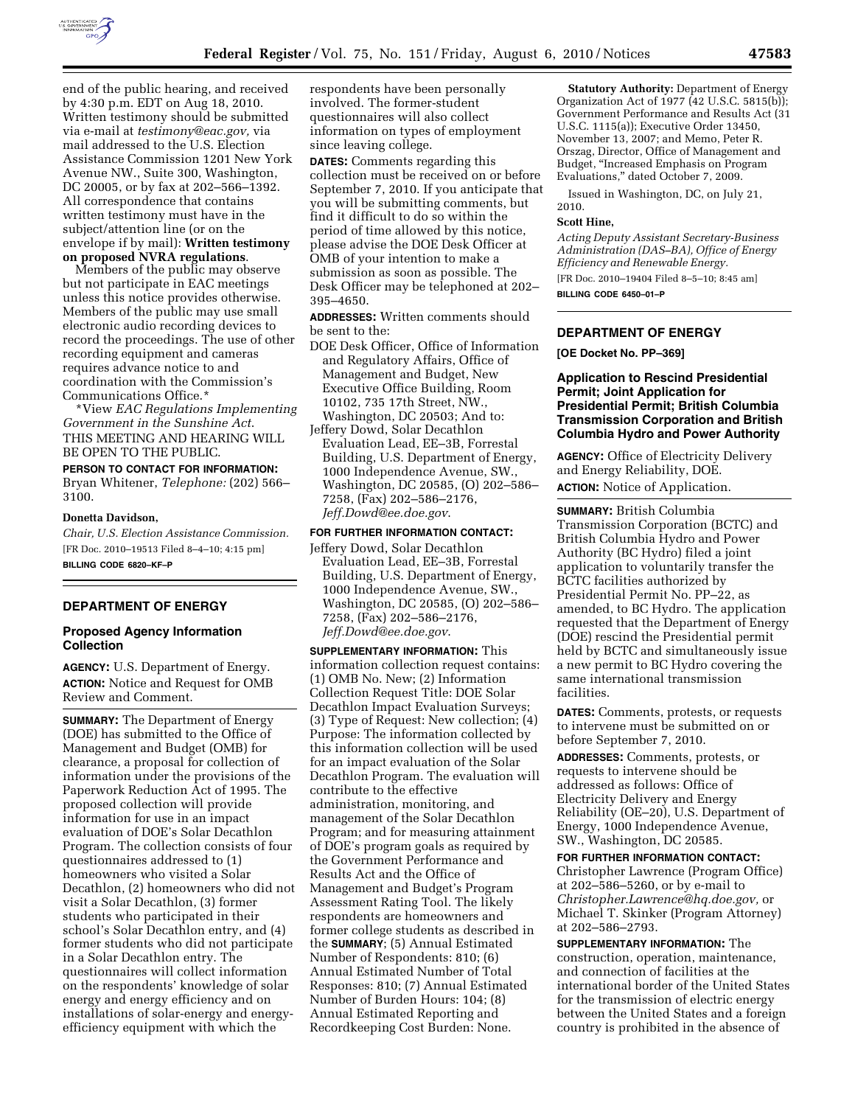

end of the public hearing, and received by 4:30 p.m. EDT on Aug 18, 2010. Written testimony should be submitted via e-mail at *[testimony@eac.gov,](mailto:testimony@eac.gov)* via mail addressed to the U.S. Election Assistance Commission 1201 New York Avenue NW., Suite 300, Washington, DC 20005, or by fax at 202–566–1392. All correspondence that contains written testimony must have in the subject/attention line (or on the envelope if by mail): **Written testimony on proposed NVRA regulations**.

Members of the public may observe but not participate in EAC meetings unless this notice provides otherwise. Members of the public may use small electronic audio recording devices to record the proceedings. The use of other recording equipment and cameras requires advance notice to and coordination with the Commission's Communications Office.\*

\*View *EAC Regulations Implementing Government in the Sunshine Act*. THIS MEETING AND HEARING WILL BE OPEN TO THE PUBLIC.

# **PERSON TO CONTACT FOR INFORMATION:**

Bryan Whitener, *Telephone:* (202) 566– 3100.

#### **Donetta Davidson,**

*Chair, U.S. Election Assistance Commission.*  [FR Doc. 2010–19513 Filed 8–4–10; 4:15 pm] **BILLING CODE 6820–KF–P** 

# **DEPARTMENT OF ENERGY**

## **Proposed Agency Information Collection**

**AGENCY:** U.S. Department of Energy. **ACTION:** Notice and Request for OMB Review and Comment.

**SUMMARY:** The Department of Energy (DOE) has submitted to the Office of Management and Budget (OMB) for clearance, a proposal for collection of information under the provisions of the Paperwork Reduction Act of 1995. The proposed collection will provide information for use in an impact evaluation of DOE's Solar Decathlon Program. The collection consists of four questionnaires addressed to (1) homeowners who visited a Solar Decathlon, (2) homeowners who did not visit a Solar Decathlon, (3) former students who participated in their school's Solar Decathlon entry, and (4) former students who did not participate in a Solar Decathlon entry. The questionnaires will collect information on the respondents' knowledge of solar energy and energy efficiency and on installations of solar-energy and energyefficiency equipment with which the

respondents have been personally involved. The former-student questionnaires will also collect information on types of employment since leaving college.

**DATES:** Comments regarding this collection must be received on or before September 7, 2010. If you anticipate that you will be submitting comments, but find it difficult to do so within the period of time allowed by this notice, please advise the DOE Desk Officer at OMB of your intention to make a submission as soon as possible. The Desk Officer may be telephoned at 202– 395–4650.

**ADDRESSES:** Written comments should be sent to the:

- DOE Desk Officer, Office of Information and Regulatory Affairs, Office of Management and Budget, New Executive Office Building, Room 10102, 735 17th Street, NW.,
- Washington, DC 20503; And to: Jeffery Dowd, Solar Decathlon Evaluation Lead, EE–3B, Forrestal Building, U.S. Department of Energy, 1000 Independence Avenue, SW., Washington, DC 20585, (O) 202–586– 7258, (Fax) 202–586–2176, *[Jeff.Dowd@ee.doe.gov](mailto:Jeff.Dowd@ee.doe.gov)*.

#### **FOR FURTHER INFORMATION CONTACT:**

Jeffery Dowd, Solar Decathlon Evaluation Lead, EE–3B, Forrestal Building, U.S. Department of Energy, 1000 Independence Avenue, SW., Washington, DC 20585, (O) 202–586– 7258, (Fax) 202–586–2176, *[Jeff.Dowd@ee.doe.gov](mailto:Jeff.Dowd@ee.doe.gov)*.

**SUPPLEMENTARY INFORMATION:** This information collection request contains: (1) OMB No. New; (2) Information Collection Request Title: DOE Solar Decathlon Impact Evaluation Surveys; (3) Type of Request: New collection; (4) Purpose: The information collected by this information collection will be used for an impact evaluation of the Solar Decathlon Program. The evaluation will contribute to the effective administration, monitoring, and management of the Solar Decathlon Program; and for measuring attainment of DOE's program goals as required by the Government Performance and Results Act and the Office of Management and Budget's Program Assessment Rating Tool. The likely respondents are homeowners and former college students as described in the **SUMMARY**; (5) Annual Estimated Number of Respondents: 810; (6) Annual Estimated Number of Total Responses: 810; (7) Annual Estimated Number of Burden Hours: 104; (8) Annual Estimated Reporting and Recordkeeping Cost Burden: None.

**Statutory Authority:** Department of Energy Organization Act of 1977 (42 U.S.C. 5815(b)); Government Performance and Results Act (31 U.S.C. 1115(a)); Executive Order 13450, November 13, 2007; and Memo, Peter R. Orszag, Director, Office of Management and Budget, ''Increased Emphasis on Program Evaluations,'' dated October 7, 2009.

Issued in Washington, DC, on July 21, 2010.

#### **Scott Hine,**

*Acting Deputy Assistant Secretary-Business Administration (DAS–BA), Office of Energy Efficiency and Renewable Energy.*  [FR Doc. 2010–19404 Filed 8–5–10; 8:45 am] **BILLING CODE 6450–01–P** 

## **DEPARTMENT OF ENERGY**

**[OE Docket No. PP–369]** 

## **Application to Rescind Presidential Permit; Joint Application for Presidential Permit; British Columbia Transmission Corporation and British Columbia Hydro and Power Authority**

**AGENCY:** Office of Electricity Delivery and Energy Reliability, DOE. **ACTION:** Notice of Application.

**SUMMARY:** British Columbia Transmission Corporation (BCTC) and British Columbia Hydro and Power Authority (BC Hydro) filed a joint application to voluntarily transfer the BCTC facilities authorized by Presidential Permit No. PP–22, as amended, to BC Hydro. The application requested that the Department of Energy (DOE) rescind the Presidential permit held by BCTC and simultaneously issue a new permit to BC Hydro covering the same international transmission facilities.

**DATES:** Comments, protests, or requests to intervene must be submitted on or before September 7, 2010.

**ADDRESSES:** Comments, protests, or requests to intervene should be addressed as follows: Office of Electricity Delivery and Energy Reliability (OE–20), U.S. Department of Energy, 1000 Independence Avenue, SW., Washington, DC 20585.

**FOR FURTHER INFORMATION CONTACT:**  Christopher Lawrence (Program Office) at 202–586–5260, or by e-mail to *[Christopher.Lawrence@hq.doe.gov,](mailto:Christopher.Lawrence@hq.doe.gov)* or Michael T. Skinker (Program Attorney) at 202–586–2793.

**SUPPLEMENTARY INFORMATION:** The construction, operation, maintenance, and connection of facilities at the international border of the United States for the transmission of electric energy between the United States and a foreign country is prohibited in the absence of